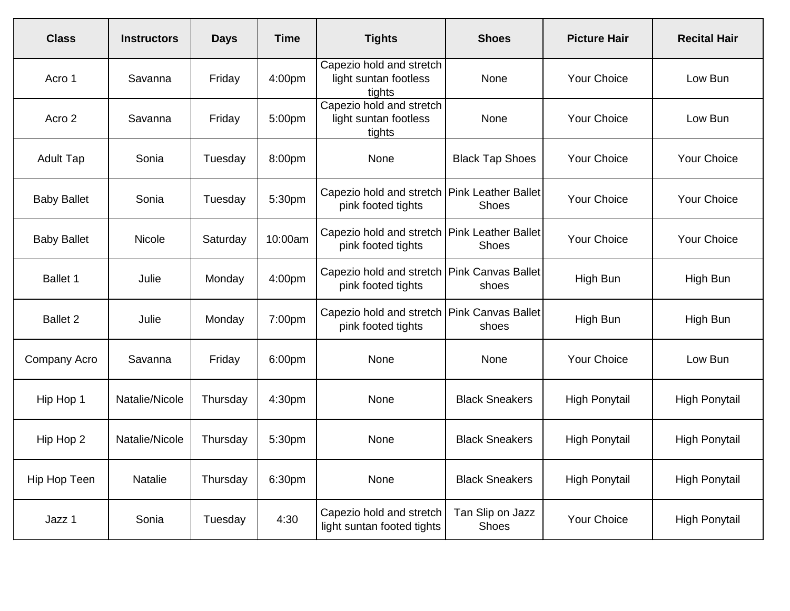| <b>Class</b>       | <b>Instructors</b> | <b>Days</b> | <b>Time</b> | <b>Tights</b>                                                        | <b>Shoes</b>              | <b>Picture Hair</b>  | <b>Recital Hair</b>  |
|--------------------|--------------------|-------------|-------------|----------------------------------------------------------------------|---------------------------|----------------------|----------------------|
| Acro 1             | Savanna            | Friday      | 4:00pm      | Capezio hold and stretch<br>light suntan footless<br>tights          | None                      | <b>Your Choice</b>   | Low Bun              |
| Acro 2             | Savanna            | Friday      | 5:00pm      | Capezio hold and stretch<br>light suntan footless<br>tights          | None                      | Your Choice          | Low Bun              |
| <b>Adult Tap</b>   | Sonia              | Tuesday     | 8:00pm      | None                                                                 | <b>Black Tap Shoes</b>    | <b>Your Choice</b>   | Your Choice          |
| <b>Baby Ballet</b> | Sonia              | Tuesday     | 5:30pm      | Capezio hold and stretch Pink Leather Ballet<br>pink footed tights   | <b>Shoes</b>              | Your Choice          | <b>Your Choice</b>   |
| <b>Baby Ballet</b> | Nicole             | Saturday    | 10:00am     | Capezio hold and stretch   Pink Leather Ballet<br>pink footed tights | <b>Shoes</b>              | Your Choice          | Your Choice          |
| <b>Ballet 1</b>    | Julie              | Monday      | 4:00pm      | Capezio hold and stretch Pink Canvas Ballet<br>pink footed tights    | shoes                     | High Bun             | High Bun             |
| <b>Ballet 2</b>    | Julie              | Monday      | 7:00pm      | Capezio hold and stretch Pink Canvas Ballet<br>pink footed tights    | shoes                     | High Bun             | High Bun             |
| Company Acro       | Savanna            | Friday      | 6:00pm      | None                                                                 | None                      | <b>Your Choice</b>   | Low Bun              |
| Hip Hop 1          | Natalie/Nicole     | Thursday    | 4:30pm      | None                                                                 | <b>Black Sneakers</b>     | <b>High Ponytail</b> | <b>High Ponytail</b> |
| Hip Hop 2          | Natalie/Nicole     | Thursday    | 5:30pm      | None                                                                 | <b>Black Sneakers</b>     | <b>High Ponytail</b> | <b>High Ponytail</b> |
| Hip Hop Teen       | <b>Natalie</b>     | Thursday    | 6:30pm      | None                                                                 | <b>Black Sneakers</b>     | <b>High Ponytail</b> | <b>High Ponytail</b> |
| Jazz 1             | Sonia              | Tuesday     | 4:30        | Capezio hold and stretch<br>light suntan footed tights               | Tan Slip on Jazz<br>Shoes | Your Choice          | <b>High Ponytail</b> |